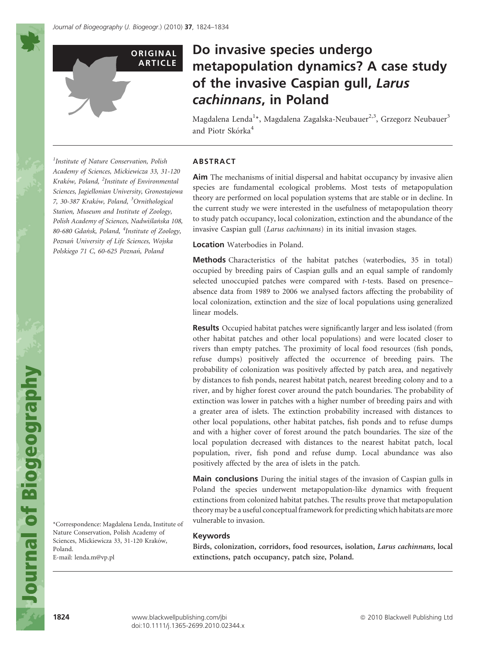

# Do invasive species undergo metapopulation dynamics? A case study of the invasive Caspian gull, Larus cachinnans, in Poland

Magdalena Lenda<sup>1</sup>\*, Magdalena Zagalska-Neubauer<sup>2,3</sup>, Grzegorz Neubauer<sup>3</sup> and Piotr Skórka<sup>4</sup>

1 Institute of Nature Conservation, Polish Academy of Sciences, Mickiewicza 33, 31-120 Kraków, Poland, <sup>2</sup>Institute of Environmental Sciences, Jagiellonian University, Gronostajowa 7, 30-387 Kraków, Poland, <sup>3</sup>Ornithological Station, Museum and Institute of Zoology, Polish Academy of Sciences, Nadwiślańska 108, 80-680 Gdańsk, Poland, <sup>4</sup>Institute of Zoology, Poznań University of Life Sciences, Wojska Polskiego 71 C, 60-625 Poznań, Poland

# ABSTRACT

Aim The mechanisms of initial dispersal and habitat occupancy by invasive alien species are fundamental ecological problems. Most tests of metapopulation theory are performed on local population systems that are stable or in decline. In the current study we were interested in the usefulness of metapopulation theory to study patch occupancy, local colonization, extinction and the abundance of the invasive Caspian gull (Larus cachinnans) in its initial invasion stages.

Location Waterbodies in Poland.

Methods Characteristics of the habitat patches (waterbodies, 35 in total) occupied by breeding pairs of Caspian gulls and an equal sample of randomly selected unoccupied patches were compared with t-tests. Based on presence– absence data from 1989 to 2006 we analysed factors affecting the probability of local colonization, extinction and the size of local populations using generalized linear models.

Results Occupied habitat patches were significantly larger and less isolated (from other habitat patches and other local populations) and were located closer to rivers than empty patches. The proximity of local food resources (fish ponds, refuse dumps) positively affected the occurrence of breeding pairs. The probability of colonization was positively affected by patch area, and negatively by distances to fish ponds, nearest habitat patch, nearest breeding colony and to a river, and by higher forest cover around the patch boundaries. The probability of extinction was lower in patches with a higher number of breeding pairs and with a greater area of islets. The extinction probability increased with distances to other local populations, other habitat patches, fish ponds and to refuse dumps and with a higher cover of forest around the patch boundaries. The size of the local population decreased with distances to the nearest habitat patch, local population, river, fish pond and refuse dump. Local abundance was also positively affected by the area of islets in the patch.

Main conclusions During the initial stages of the invasion of Caspian gulls in Poland the species underwent metapopulation-like dynamics with frequent extinctions from colonized habitat patches. The results prove that metapopulation theory may be a useful conceptual framework for predicting which habitats are more vulnerable to invasion.

## Keywords

Birds, colonization, corridors, food resources, isolation, Larus cachinnans, local extinctions, patch occupancy, patch size, Poland.

\*Correspondence: Magdalena Lenda, Institute of Nature Conservation, Polish Academy of Sciences, Mickiewicza 33, 31-120 Kraków, Poland. E-mail: lenda.m@vp.pl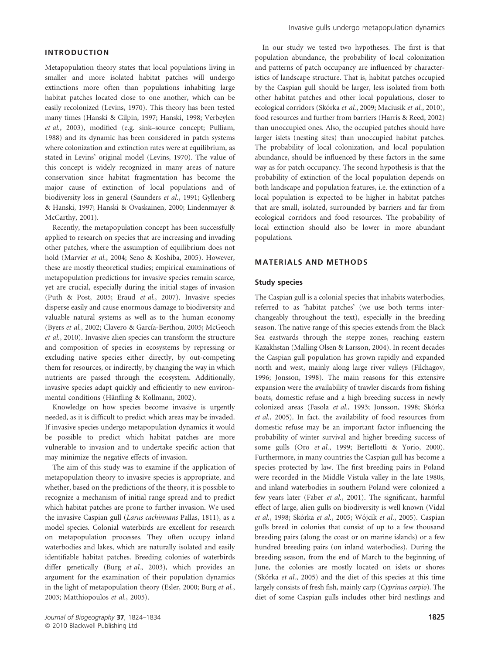# INTRODUCTION

Metapopulation theory states that local populations living in smaller and more isolated habitat patches will undergo extinctions more often than populations inhabiting large habitat patches located close to one another, which can be easily recolonized (Levins, 1970). This theory has been tested many times (Hanski & Gilpin, 1997; Hanski, 1998; Verbeylen et al., 2003), modified (e.g. sink–source concept; Pulliam, 1988) and its dynamic has been considered in patch systems where colonization and extinction rates were at equilibrium, as stated in Levins' original model (Levins, 1970). The value of this concept is widely recognized in many areas of nature conservation since habitat fragmentation has become the major cause of extinction of local populations and of biodiversity loss in general (Saunders et al., 1991; Gyllenberg & Hanski, 1997; Hanski & Ovaskainen, 2000; Lindenmayer & McCarthy, 2001).

Recently, the metapopulation concept has been successfully applied to research on species that are increasing and invading other patches, where the assumption of equilibrium does not hold (Marvier et al., 2004; Seno & Koshiba, 2005). However, these are mostly theoretical studies; empirical examinations of metapopulation predictions for invasive species remain scarce, yet are crucial, especially during the initial stages of invasion (Puth & Post, 2005; Eraud et al., 2007). Invasive species disperse easily and cause enormous damage to biodiversity and valuable natural systems as well as to the human economy (Byers et al., 2002; Clavero & García-Berthou, 2005; McGeoch et al., 2010). Invasive alien species can transform the structure and composition of species in ecosystems by repressing or excluding native species either directly, by out-competing them for resources, or indirectly, by changing the way in which nutrients are passed through the ecosystem. Additionally, invasive species adapt quickly and efficiently to new environmental conditions (Hänfling & Kollmann, 2002).

Knowledge on how species become invasive is urgently needed, as it is difficult to predict which areas may be invaded. If invasive species undergo metapopulation dynamics it would be possible to predict which habitat patches are more vulnerable to invasion and to undertake specific action that may minimize the negative effects of invasion.

The aim of this study was to examine if the application of metapopulation theory to invasive species is appropriate, and whether, based on the predictions of the theory, it is possible to recognize a mechanism of initial range spread and to predict which habitat patches are prone to further invasion. We used the invasive Caspian gull (Larus cachinnans Pallas, 1811), as a model species. Colonial waterbirds are excellent for research on metapopulation processes. They often occupy inland waterbodies and lakes, which are naturally isolated and easily identifiable habitat patches. Breeding colonies of waterbirds differ genetically (Burg et al., 2003), which provides an argument for the examination of their population dynamics in the light of metapopulation theory (Esler, 2000; Burg et al., 2003; Matthiopoulos et al., 2005).

In our study we tested two hypotheses. The first is that population abundance, the probability of local colonization and patterns of patch occupancy are influenced by characteristics of landscape structure. That is, habitat patches occupied by the Caspian gull should be larger, less isolated from both other habitat patches and other local populations, closer to ecological corridors (Skórka et al., 2009; Maciusik et al., 2010), food resources and further from barriers (Harris & Reed, 2002) than unoccupied ones. Also, the occupied patches should have larger islets (nesting sites) than unoccupied habitat patches. The probability of local colonization, and local population abundance, should be influenced by these factors in the same way as for patch occupancy. The second hypothesis is that the probability of extinction of the local population depends on both landscape and population features, i.e. the extinction of a local population is expected to be higher in habitat patches that are small, isolated, surrounded by barriers and far from ecological corridors and food resources. The probability of local extinction should also be lower in more abundant populations.

#### MATERIALS AND METHODS

#### Study species

The Caspian gull is a colonial species that inhabits waterbodies, referred to as 'habitat patches' (we use both terms interchangeably throughout the text), especially in the breeding season. The native range of this species extends from the Black Sea eastwards through the steppe zones, reaching eastern Kazakhstan (Malling Olsen & Larsson, 2004). In recent decades the Caspian gull population has grown rapidly and expanded north and west, mainly along large river valleys (Filchagov, 1996; Jonsson, 1998). The main reasons for this extensive expansion were the availability of trawler discards from fishing boats, domestic refuse and a high breeding success in newly colonized areas (Fasola et al., 1993; Jonsson, 1998; Skórka et al., 2005). In fact, the availability of food resources from domestic refuse may be an important factor influencing the probability of winter survival and higher breeding success of some gulls (Oro et al., 1999; Bertellotti & Yorio, 2000). Furthermore, in many countries the Caspian gull has become a species protected by law. The first breeding pairs in Poland were recorded in the Middle Vistula valley in the late 1980s, and inland waterbodies in southern Poland were colonized a few years later (Faber et al., 2001). The significant, harmful effect of large, alien gulls on biodiversity is well known (Vidal et al., 1998; Skórka et al., 2005; Wójcik et al., 2005). Caspian gulls breed in colonies that consist of up to a few thousand breeding pairs (along the coast or on marine islands) or a few hundred breeding pairs (on inland waterbodies). During the breeding season, from the end of March to the beginning of June, the colonies are mostly located on islets or shores (Skórka et al., 2005) and the diet of this species at this time largely consists of fresh fish, mainly carp (Cyprinus carpio). The diet of some Caspian gulls includes other bird nestlings and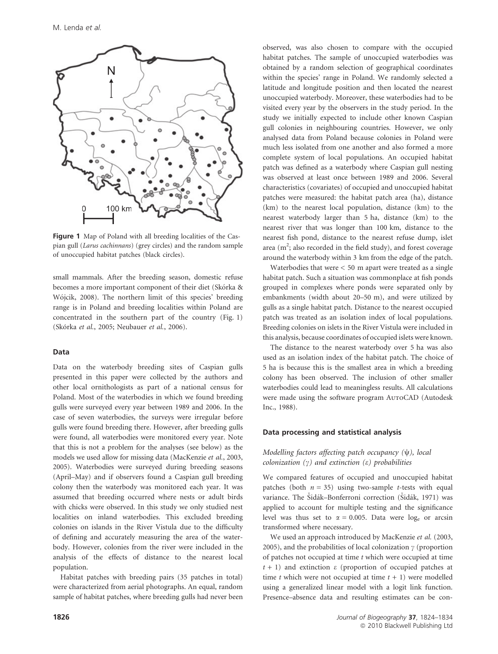

Figure 1 Map of Poland with all breeding localities of the Caspian gull (Larus cachinnans) (grey circles) and the random sample of unoccupied habitat patches (black circles).

small mammals. After the breeding season, domestic refuse becomes a more important component of their diet (Skórka & Wójcik, 2008). The northern limit of this species' breeding range is in Poland and breeding localities within Poland are concentrated in the southern part of the country (Fig. 1) (Skórka et al., 2005; Neubauer et al., 2006).

### Data

Data on the waterbody breeding sites of Caspian gulls presented in this paper were collected by the authors and other local ornithologists as part of a national census for Poland. Most of the waterbodies in which we found breeding gulls were surveyed every year between 1989 and 2006. In the case of seven waterbodies, the surveys were irregular before gulls were found breeding there. However, after breeding gulls were found, all waterbodies were monitored every year. Note that this is not a problem for the analyses (see below) as the models we used allow for missing data (MacKenzie et al., 2003, 2005). Waterbodies were surveyed during breeding seasons (April–May) and if observers found a Caspian gull breeding colony then the waterbody was monitored each year. It was assumed that breeding occurred where nests or adult birds with chicks were observed. In this study we only studied nest localities on inland waterbodies. This excluded breeding colonies on islands in the River Vistula due to the difficulty of defining and accurately measuring the area of the waterbody. However, colonies from the river were included in the analysis of the effects of distance to the nearest local population.

Habitat patches with breeding pairs (35 patches in total) were characterized from aerial photographs. An equal, random sample of habitat patches, where breeding gulls had never been observed, was also chosen to compare with the occupied habitat patches. The sample of unoccupied waterbodies was obtained by a random selection of geographical coordinates within the species' range in Poland. We randomly selected a latitude and longitude position and then located the nearest unoccupied waterbody. Moreover, these waterbodies had to be visited every year by the observers in the study period. In the study we initially expected to include other known Caspian gull colonies in neighbouring countries. However, we only analysed data from Poland because colonies in Poland were much less isolated from one another and also formed a more complete system of local populations. An occupied habitat patch was defined as a waterbody where Caspian gull nesting was observed at least once between 1989 and 2006. Several characteristics (covariates) of occupied and unoccupied habitat patches were measured: the habitat patch area (ha), distance (km) to the nearest local population, distance (km) to the nearest waterbody larger than 5 ha, distance (km) to the nearest river that was longer than 100 km, distance to the nearest fish pond, distance to the nearest refuse dump, islet area  $(m^2;$  also recorded in the field study), and forest coverage around the waterbody within 3 km from the edge of the patch.

Waterbodies that were < 50 m apart were treated as a single habitat patch. Such a situation was commonplace at fish ponds grouped in complexes where ponds were separated only by embankments (width about 20–50 m), and were utilized by gulls as a single habitat patch. Distance to the nearest occupied patch was treated as an isolation index of local populations. Breeding colonies on islets in the River Vistula were included in this analysis, because coordinates of occupied islets were known.

The distance to the nearest waterbody over 5 ha was also used as an isolation index of the habitat patch. The choice of 5 ha is because this is the smallest area in which a breeding colony has been observed. The inclusion of other smaller waterbodies could lead to meaningless results. All calculations were made using the software program AutoCAD (Autodesk Inc., 1988).

#### Data processing and statistical analysis

## Modelling factors affecting patch occupancy  $(\psi)$ , local colonization  $(y)$  and extinction  $(\varepsilon)$  probabilities

We compared features of occupied and unoccupied habitat patches (both  $n = 35$ ) using two-sample *t*-tests with equal variance. The Sidák–Bonferroni correction (Sidák, 1971) was applied to account for multiple testing and the significance level was thus set to  $\alpha = 0.005$ . Data were log<sub>e</sub> or arcsin transformed where necessary.

We used an approach introduced by MacKenzie et al. (2003, 2005), and the probabilities of local colonization  $\gamma$  (proportion of patches not occupied at time t which were occupied at time  $t + 1$ ) and extinction  $\varepsilon$  (proportion of occupied patches at time t which were not occupied at time  $t + 1$ ) were modelled using a generalized linear model with a logit link function. Presence–absence data and resulting estimates can be con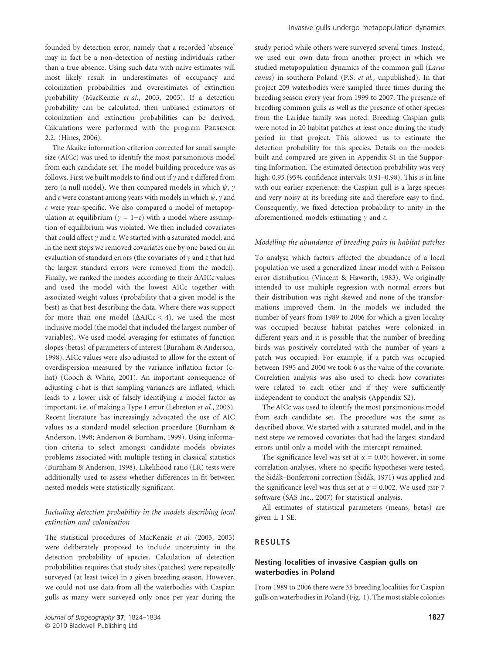founded by detection error, namely that a recorded 'absence' may in fact be a non-detection of nesting individuals rather than a true absence. Using such data with naive estimates will most likely result in underestimates of occupancy and colonization probabilities and overestimates of extinction probability (MacKenzie et al., 2003, 2005). If a detection probability can be calculated, then unbiased estimators of colonization and extinction probabilities can be derived. Calculations were performed with the program Presence 2.2. (Hines, 2006).

The Akaike information criterion corrected for small sample size (AICc) was used to identify the most parsimonious model from each candidate set. The model building procedure was as follows. First we built models to find out if  $\gamma$  and  $\varepsilon$  differed from zero (a null model). We then compared models in which  $\psi$ ,  $\gamma$ and  $\varepsilon$  were constant among years with models in which  $\psi$ ,  $\gamma$  and e were year-specific. We also compared a model of metapopulation at equilibrium ( $\gamma = 1-\varepsilon$ ) with a model where assumption of equilibrium was violated. We then included covariates that could affect  $\gamma$  and  $\varepsilon$ . We started with a saturated model, and in the next steps we removed covariates one by one based on an evaluation of standard errors (the covariates of  $\gamma$  and  $\varepsilon$  that had the largest standard errors were removed from the model). Finally, we ranked the models according to their  $\Delta AICc$  values and used the model with the lowest AICc together with associated weight values (probability that a given model is the best) as that best describing the data. Where there was support for more than one model  $(\Delta AICc < 4)$ , we used the most inclusive model (the model that included the largest number of variables). We used model averaging for estimates of function slopes (betas) of parameters of interest (Burnham & Anderson, 1998). AICc values were also adjusted to allow for the extent of overdispersion measured by the variance inflation factor (chat) (Cooch & White, 2001). An important consequence of adjusting c-hat is that sampling variances are inflated, which leads to a lower risk of falsely identifying a model factor as important, i.e. of making a Type 1 error (Lebreton et al., 2003). Recent literature has increasingly advocated the use of AIC values as a standard model selection procedure (Burnham & Anderson, 1998; Anderson & Burnham, 1999). Using information criteria to select amongst candidate models obviates problems associated with multiple testing in classical statistics (Burnham & Anderson, 1998). Likelihood ratio (LR) tests were additionally used to assess whether differences in fit between nested models were statistically significant.

# Including detection probability in the models describing local extinction and colonization

The statistical procedures of MacKenzie et al. (2003, 2005) were deliberately proposed to include uncertainty in the detection probability of species. Calculation of detection probabilities requires that study sites (patches) were repeatedly surveyed (at least twice) in a given breeding season. However, we could not use data from all the waterbodies with Caspian gulls as many were surveyed only once per year during the

study period while others were surveyed several times. Instead, we used our own data from another project in which we studied metapopulation dynamics of the common gull (Larus canus) in southern Poland (P.S. et al., unpublished). In that project 209 waterbodies were sampled three times during the breeding season every year from 1999 to 2007. The presence of breeding common gulls as well as the presence of other species from the Laridae family was noted. Breeding Caspian gulls were noted in 20 habitat patches at least once during the study period in that project. This allowed us to estimate the detection probability for this species. Details on the models built and compared are given in Appendix S1 in the Supporting Information. The estimated detection probability was very high: 0.95 (95% confidence intervals: 0.91–0.98). This is in line with our earlier experience: the Caspian gull is a large species and very noisy at its breeding site and therefore easy to find. Consequently, we fixed detection probability to unity in the aforementioned models estimating  $\gamma$  and  $\varepsilon$ .

### Modelling the abundance of breeding pairs in habitat patches

To analyse which factors affected the abundance of a local population we used a generalized linear model with a Poisson error distribution (Vincent & Haworth, 1983). We originally intended to use multiple regression with normal errors but their distribution was right skewed and none of the transformations improved them. In the models we included the number of years from 1989 to 2006 for which a given locality was occupied because habitat patches were colonized in different years and it is possible that the number of breeding birds was positively correlated with the number of years a patch was occupied. For example, if a patch was occupied between 1995 and 2000 we took 6 as the value of the covariate. Correlation analysis was also used to check how covariates were related to each other and if they were sufficiently independent to conduct the analysis (Appendix S2).

The AICc was used to identify the most parsimonious model from each candidate set. The procedure was the same as described above. We started with a saturated model, and in the next steps we removed covariates that had the largest standard errors until only a model with the intercept remained.

The significance level was set at  $\alpha = 0.05$ ; however, in some correlation analyses, where no specific hypotheses were tested, the Šidák–Bonferroni correction (Šidák, 1971) was applied and the significance level was thus set at  $\alpha = 0.002$ . We used JMP 7 software (SAS Inc., 2007) for statistical analysis.

All estimates of statistical parameters (means, betas) are given  $\pm$  1 SE.

#### RESULTS

# Nesting localities of invasive Caspian gulls on waterbodies in Poland

From 1989 to 2006 there were 35 breeding localities for Caspian gulls on waterbodies in Poland (Fig. 1). The most stable colonies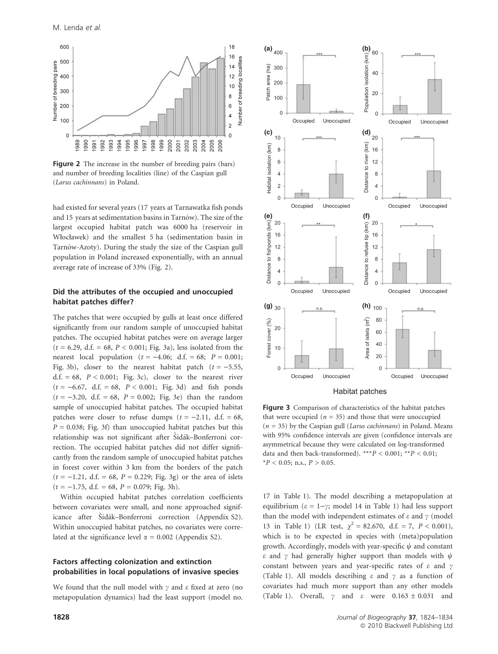

Figure 2 The increase in the number of breeding pairs (bars) and number of breeding localities (line) of the Caspian gull (Larus cachinnans) in Poland.

had existed for several years (17 years at Tarnawatka fish ponds and 15 years at sedimentation basins in Tarnów). The size of the largest occupied habitat patch was 6000 ha (reservoir in Włocławek) and the smallest 5 ha (sedimentation basin in Tarnów-Azoty). During the study the size of the Caspian gull population in Poland increased exponentially, with an annual average rate of increase of 33% (Fig. 2).

## Did the attributes of the occupied and unoccupied habitat patches differ?

The patches that were occupied by gulls at least once differed significantly from our random sample of unoccupied habitat patches. The occupied habitat patches were on average larger  $(t = 6.29, d.f. = 68, P < 0.001; Fig. 3a)$ , less isolated from the nearest local population  $(t = -4.06; d.f. = 68; P = 0.001;$ Fig. 3b), closer to the nearest habitat patch  $(t = -5.55,$ d.f. =  $68$ ,  $P < 0.001$ ; Fig. 3c), closer to the nearest river  $(t = -6.67, d.f. = 68, P < 0.001; Fig. 3d) and fish pounds$  $(t = -3.20, d.f. = 68, P = 0.002; Fig. 3e) than the random$ sample of unoccupied habitat patches. The occupied habitat patches were closer to refuse dumps  $(t = -2.11, d.f. = 68,$  $P = 0.038$ ; Fig. 3f) than unoccupied habitat patches but this relationship was not significant after Sidák–Bonferroni correction. The occupied habitat patches did not differ significantly from the random sample of unoccupied habitat patches in forest cover within 3 km from the borders of the patch  $(t = -1.21, d.f. = 68, P = 0.229; Fig. 3g)$  or the area of islets  $(t = -1.75, d.f. = 68, P = 0.079; Fig. 3h).$ 

Within occupied habitat patches correlation coefficients between covariates were small, and none approached significance after Šidák–Bonferroni correction (Appendix S2). Within unoccupied habitat patches, no covariates were correlated at the significance level  $\alpha = 0.002$  (Appendix S2).

# Factors affecting colonization and extinction probabilities in local populations of invasive species

We found that the null model with  $\gamma$  and  $\varepsilon$  fixed at zero (no metapopulation dynamics) had the least support (model no.



Habitat patches

Figure 3 Comparison of characteristics of the habitat patches that were occupied ( $n = 35$ ) and those that were unoccupied  $(n = 35)$  by the Caspian gull (Larus cachinnans) in Poland. Means with 95% confidence intervals are given (confidence intervals are asymmetrical because they were calculated on log-transformed data and then back-transformed). \*\*\* $P < 0.001$ ; \*\* $P < 0.01$ ;  $*P < 0.05$ ; n.s.,  $P > 0.05$ .

17 in Table 1). The model describing a metapopulation at equilibrium ( $\varepsilon = 1-\gamma$ ; model 14 in Table 1) had less support than the model with independent estimates of  $\varepsilon$  and  $\gamma$  (model 13 in Table 1) (LR test,  $\chi^2 = 82.670$ , d.f. = 7,  $P < 0.001$ ), which is to be expected in species with (meta)population growth. Accordingly, models with year-specific  $\psi$  and constant  $\varepsilon$  and  $\gamma$  had generally higher support than models with  $\psi$ constant between years and year-specific rates of  $\varepsilon$  and  $\gamma$ (Table 1). All models describing  $\varepsilon$  and  $\gamma$  as a function of covariates had much more support than any other models (Table 1). Overall,  $\gamma$  and  $\varepsilon$  were 0.163  $\pm$  0.031 and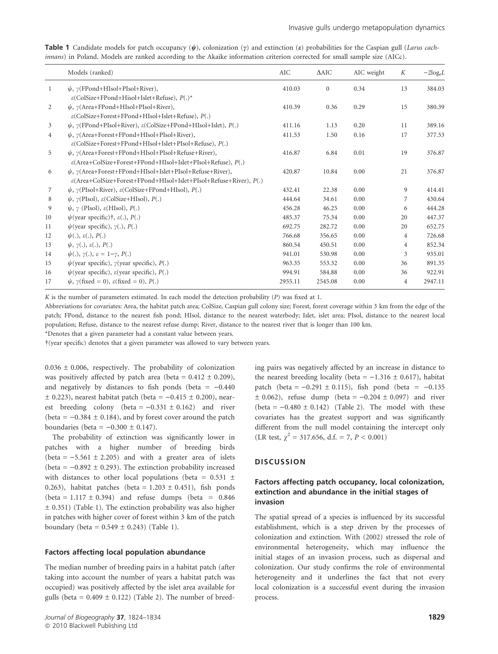|  |  | Table 1 Candidate models for patch occupancy $(\psi)$ , colonization $(\gamma)$ and extinction $(\varepsilon)$ probabilities for the Caspian gull (Larus cach- |  |  |  |  |  |  |
|--|--|----------------------------------------------------------------------------------------------------------------------------------------------------------------|--|--|--|--|--|--|
|  |  | <i>innans</i> ) in Poland. Models are ranked according to the Akaike information criterion corrected for small sample size (AICc).                             |  |  |  |  |  |  |

|    | Models (ranked)                                                                        | AIC     | $\triangle$ AIC | AIC weight | K              | $-2\log_e L$ |
|----|----------------------------------------------------------------------------------------|---------|-----------------|------------|----------------|--------------|
| 1  | $\psi$ , $\gamma$ (FPond+HIsol+PIsol+River),                                           | 410.03  | $\mathbf{0}$    | 0.34       | 13             | 384.03       |
|    | $\varepsilon$ (ColSize+FPond+Hisol+Islet+Refuse), $P(.)^*$                             |         |                 |            |                |              |
| 2  | $\psi$ , $\gamma$ (Area+FPond+HIsol+PIsol+River),                                      | 410.39  | 0.36            | 0.29       | 15             | 380.39       |
|    | $\varepsilon$ (ColSize+Forest+FPond+HIsol+Islet+Refuse), P(.)                          |         |                 |            |                |              |
| 3  | $\psi$ , $\gamma$ (FPond+PIsol+River), $\varepsilon$ (ColSize+FPond+HIsol+Islet), P(.) | 411.16  | 1.13            | 0.20       | 11             | 389.16       |
| 4  | $\psi$ , $\gamma$ (Area+Forest+FPond+HIsol+PIsol+River),                               | 411.53  | 1.50            | 0.16       | 17             | 377.53       |
|    | $\varepsilon$ (ColSize+Forest+FPond+HIsol+Islet+PIsol+Refuse), $P(.)$                  |         |                 |            |                |              |
| 5  | $\psi$ , $\gamma$ (Area+Forest+FPond+HIsol+PIsol+Refuse+River),                        | 416.87  | 6.84            | 0.01       | 19             | 376.87       |
|    | $\varepsilon$ (Area+ColSize+Forest+FPond+HIsol+Islet+PIsol+Refuse), $P(.)$             |         |                 |            |                |              |
| 6  | $\psi$ , $\gamma$ (Area+Forest+FPond+HIsol+Islet+PIsol+Refuse+River),                  | 420.87  | 10.84           | 0.00       | 21             | 376.87       |
|    | $\varepsilon$ (Area+ColSize+Forest+FPond+HIsol+Islet+PIsol+Refuse+River), $P(.)$       |         |                 |            |                |              |
| 7  | $\psi$ , $\gamma$ (PIsol+River), $\varepsilon$ (ColSize+FPond+HIsol), P(.)             | 432.41  | 22.38           | 0.00       | 9              | 414.41       |
| 8  | $\psi$ , $\gamma$ (PIsol), $\varepsilon$ (ColSize+HIsol), $P(.)$                       | 444.64  | 34.61           | 0.00       | 7              | 430.64       |
| 9  | $\psi$ , $\gamma$ (PIsol), $\varepsilon$ (HIsol), $P(.)$                               | 456.28  | 46.25           | 0.00       | 6              | 444.28       |
| 10 | $\psi$ (year specific)†, $\varepsilon(.)$ , $P(.)$                                     | 485.37  | 75.34           | 0.00       | 20             | 447.37       |
| 11 | $\psi$ (year specific), $\gamma(.)$ , $P(.)$                                           | 692.75  | 282.72          | 0.00       | 20             | 652.75       |
| 12 | $\psi(.)$ , $\varepsilon(.)$ , $P(.)$                                                  | 766.68  | 356.65          | 0.00       | $\overline{4}$ | 726.68       |
| 13 | $\psi$ , $\gamma$ (.), $\varepsilon$ (.), $P$ (.)                                      | 860.54  | 450.51          | 0.00       | $\overline{4}$ | 852.34       |
| 14 | $\psi(.)$ , $\gamma(.)$ , $\varepsilon = 1-\gamma$ , $P(.)$                            | 941.01  | 530.98          | 0.00       | 3              | 935.01       |
| 15 | $\psi$ (year specific), $\gamma$ (year specific), P(.)                                 | 963.35  | 553.32          | 0.00       | 36             | 891.35       |
| 16 | $\psi$ (year specific), $\varepsilon$ (year specific), $P(.)$                          | 994.91  | 584.88          | 0.00       | 36             | 922.91       |
| 17 | $\psi$ , $\gamma$ (fixed = 0), $\varepsilon$ (fixed = 0), $P(.)$                       | 2955.11 | 2545.08         | 0.00       | $\overline{4}$ | 2947.11      |

 $K$  is the number of parameters estimated. In each model the detection probability  $(P)$  was fixed at 1.

Abbreviations for covariates: Area, the habitat patch area; ColSize, Caspian gull colony size; Forest, forest coverage within 3 km from the edge of the patch; FPond, distance to the nearest fish pond; HIsol, distance to the nearest waterbody; Islet, islet area; PIsol, distance to the nearest local population; Refuse, distance to the nearest refuse dump; River, distance to the nearest river that is longer than 100 km.

\*Denotes that a given parameter had a constant value between years.

-(year specific) denotes that a given parameter was allowed to vary between years.

 $0.036 \pm 0.006$ , respectively. The probability of colonization was positively affected by patch area (beta =  $0.412 \pm 0.209$ ), and negatively by distances to fish ponds (beta  $= -0.440$ )  $\pm$  0.223), nearest habitat patch (beta = -0.415  $\pm$  0.200), nearest breeding colony (beta =  $-0.331 \pm 0.162$ ) and river (beta =  $-0.384 \pm 0.184$ ), and by forest cover around the patch boundaries (beta =  $-0.300 \pm 0.147$ ).

The probability of extinction was significantly lower in patches with a higher number of breeding birds (beta =  $-5.561 \pm 2.205$ ) and with a greater area of islets (beta =  $-0.892 \pm 0.293$ ). The extinction probability increased with distances to other local populations (beta =  $0.531 \pm$ 0.263), habitat patches (beta =  $1.203 \pm 0.451$ ), fish ponds (beta =  $1.117 \pm 0.394$ ) and refuse dumps (beta =  $0.846$  $\pm$  0.351) (Table 1). The extinction probability was also higher in patches with higher cover of forest within 3 km of the patch boundary (beta =  $0.549 \pm 0.243$ ) (Table 1).

#### Factors affecting local population abundance

The median number of breeding pairs in a habitat patch (after taking into account the number of years a habitat patch was occupied) was positively affected by the islet area available for gulls (beta =  $0.409 \pm 0.122$ ) (Table 2). The number of breeding pairs was negatively affected by an increase in distance to the nearest breeding locality (beta =  $-1.316 \pm 0.617$ ), habitat patch (beta =  $-0.291 \pm 0.115$ ), fish pond (beta =  $-0.135$ )  $\pm$  0.062), refuse dump (beta = -0.204  $\pm$  0.097) and river  $beta = -0.480 \pm 0.142$  (Table 2). The model with these covariates has the greatest support and was significantly different from the null model containing the intercept only (LR test,  $\chi^2$  = 317.656, d.f. = 7, P < 0.001)

## **DISCUSSION**

# Factors affecting patch occupancy, local colonization, extinction and abundance in the initial stages of invasion

The spatial spread of a species is influenced by its successful establishment, which is a step driven by the processes of colonization and extinction. With (2002) stressed the role of environmental heterogeneity, which may influence the initial stages of an invasion process, such as dispersal and colonization. Our study confirms the role of environmental heterogeneity and it underlines the fact that not every local colonization is a successful event during the invasion process.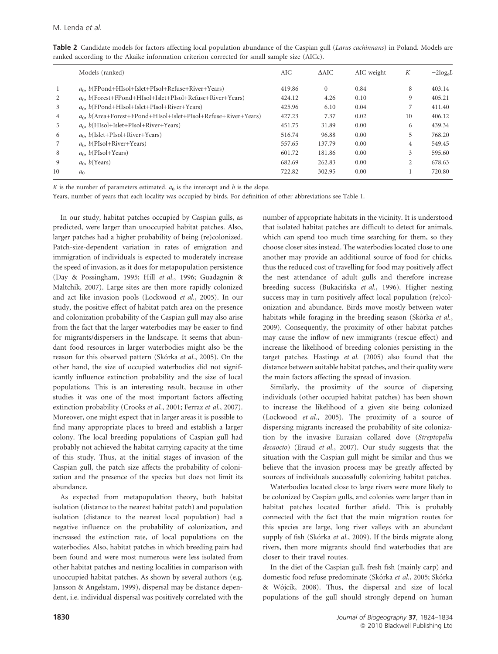|    | Models (ranked)                                                      | AIC    | $\Delta AIC$ | AIC weight | K  | $-2\log_e L$ |
|----|----------------------------------------------------------------------|--------|--------------|------------|----|--------------|
|    | $a_0$ , $b$ (FPond+HIsol+Islet+PIsol+Refuse+River+Years)             | 419.86 | $\Omega$     | 0.84       | 8  | 403.14       |
|    | $a_0$ , $b$ (Forest+FPond+HIsol+Islet+PIsol+Refuse+River+Years)      | 424.12 | 4.26         | 0.10       | 9  | 405.21       |
| 3  | $a_0$ , $b$ (FPond+HIsol+Islet+PIsol+River+Years)                    | 425.96 | 6.10         | 0.04       |    | 411.40       |
| 4  | $a_0$ , $b$ (Area+Forest+FPond+HIsol+Islet+PIsol+Refuse+River+Years) | 427.23 | 7.37         | 0.02       | 10 | 406.12       |
| 5  | $a_0$ , $b$ (HIsol+Islet+PIsol+River+Years)                          | 451.75 | 31.89        | 0.00       | 6  | 439.34       |
| 6  | $a_0$ , $b$ (Islet+PIsol+River+Years)                                | 516.74 | 96.88        | 0.00       | 5  | 768.20       |
|    | $a_0$ , $b$ (PIsol+River+Years)                                      | 557.65 | 137.79       | 0.00       | 4  | 549.45       |
| 8  | $a_0$ , $b$ (PIsol+Years)                                            | 601.72 | 181.86       | 0.00       | 3  | 595.60       |
| 9  | $a_0$ , $b$ (Years)                                                  | 682.69 | 262.83       | 0.00       | 2  | 678.63       |
| 10 | a <sub>0</sub>                                                       | 722.82 | 302.95       | 0.00       |    | 720.80       |

Table 2 Candidate models for factors affecting local population abundance of the Caspian gull (Larus cachinnans) in Poland. Models are ranked according to the Akaike information criterion corrected for small sample size (AICc).

K is the number of parameters estimated.  $a_0$  is the intercept and b is the slope.

Years, number of years that each locality was occupied by birds. For definition of other abbreviations see Table 1.

In our study, habitat patches occupied by Caspian gulls, as predicted, were larger than unoccupied habitat patches. Also, larger patches had a higher probability of being (re)colonized. Patch-size-dependent variation in rates of emigration and immigration of individuals is expected to moderately increase the speed of invasion, as it does for metapopulation persistence (Day & Possingham, 1995; Hill et al., 1996; Guadagnin & Maltchik, 2007). Large sites are then more rapidly colonized and act like invasion pools (Lockwood et al., 2005). In our study, the positive effect of habitat patch area on the presence and colonization probability of the Caspian gull may also arise from the fact that the larger waterbodies may be easier to find for migrants/dispersers in the landscape. It seems that abundant food resources in larger waterbodies might also be the reason for this observed pattern (Skórka et al., 2005). On the other hand, the size of occupied waterbodies did not significantly influence extinction probability and the size of local populations. This is an interesting result, because in other studies it was one of the most important factors affecting extinction probability (Crooks et al., 2001; Ferraz et al., 2007). Moreover, one might expect that in larger areas it is possible to find many appropriate places to breed and establish a larger colony. The local breeding populations of Caspian gull had probably not achieved the habitat carrying capacity at the time of this study. Thus, at the initial stages of invasion of the Caspian gull, the patch size affects the probability of colonization and the presence of the species but does not limit its abundance.

As expected from metapopulation theory, both habitat isolation (distance to the nearest habitat patch) and population isolation (distance to the nearest local population) had a negative influence on the probability of colonization, and increased the extinction rate, of local populations on the waterbodies. Also, habitat patches in which breeding pairs had been found and were most numerous were less isolated from other habitat patches and nesting localities in comparison with unoccupied habitat patches. As shown by several authors (e.g. Jansson & Angelstam, 1999), dispersal may be distance dependent, i.e. individual dispersal was positively correlated with the number of appropriate habitats in the vicinity. It is understood that isolated habitat patches are difficult to detect for animals, which can spend too much time searching for them, so they choose closer sites instead. The waterbodies located close to one another may provide an additional source of food for chicks, thus the reduced cost of travelling for food may positively affect the nest attendance of adult gulls and therefore increase breeding success (Bukacińska et al., 1996). Higher nesting success may in turn positively affect local population (re)colonization and abundance. Birds move mostly between water habitats while foraging in the breeding season (Skórka et al., 2009). Consequently, the proximity of other habitat patches may cause the inflow of new immigrants (rescue effect) and increase the likelihood of breeding colonies persisting in the target patches. Hastings et al. (2005) also found that the distance between suitable habitat patches, and their quality were the main factors affecting the spread of invasion.

Similarly, the proximity of the source of dispersing individuals (other occupied habitat patches) has been shown to increase the likelihood of a given site being colonized (Lockwood et al., 2005). The proximity of a source of dispersing migrants increased the probability of site colonization by the invasive Eurasian collared dove (Streptopelia decaocto) (Eraud et al., 2007). Our study suggests that the situation with the Caspian gull might be similar and thus we believe that the invasion process may be greatly affected by sources of individuals successfully colonizing habitat patches.

Waterbodies located close to large rivers were more likely to be colonized by Caspian gulls, and colonies were larger than in habitat patches located further afield. This is probably connected with the fact that the main migration routes for this species are large, long river valleys with an abundant supply of fish (Skórka et al., 2009). If the birds migrate along rivers, then more migrants should find waterbodies that are closer to their travel routes.

In the diet of the Caspian gull, fresh fish (mainly carp) and domestic food refuse predominate (Skórka et al., 2005; Skórka & Wo´jcik, 2008). Thus, the dispersal and size of local populations of the gull should strongly depend on human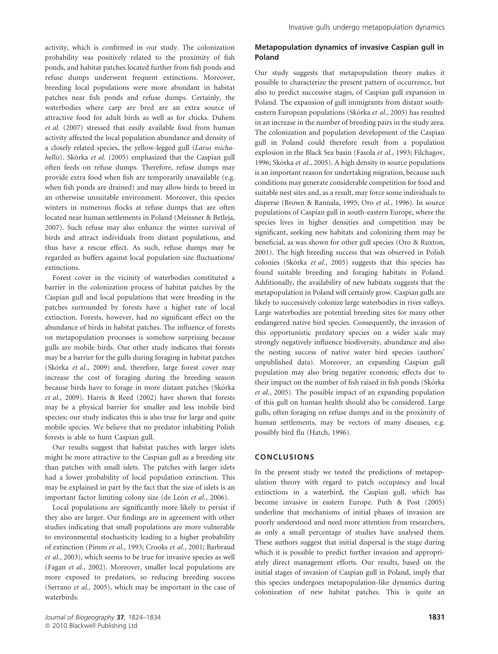activity, which is confirmed in our study. The colonization probability was positively related to the proximity of fish ponds, and habitat patches located further from fish ponds and refuse dumps underwent frequent extinctions. Moreover, breeding local populations were more abundant in habitat patches near fish ponds and refuse dumps. Certainly, the waterbodies where carp are bred are an extra source of attractive food for adult birds as well as for chicks. Duhem et al. (2007) stressed that easily available food from human activity affected the local population abundance and density of a closely related species, the yellow-legged gull (Larus michahellis). Skórka et al. (2005) emphasized that the Caspian gull often feeds on refuse dumps. Therefore, refuse dumps may provide extra food when fish are temporarily unavailable (e.g. when fish ponds are drained) and may allow birds to breed in an otherwise unsuitable environment. Moreover, this species winters in numerous flocks at refuse dumps that are often located near human settlements in Poland (Meissner & Betleja, 2007). Such refuse may also enhance the winter survival of birds and attract individuals from distant populations, and thus have a rescue effect. As such, refuse dumps may be regarded as buffers against local population size fluctuations/ extinctions.

Forest cover in the vicinity of waterbodies constituted a barrier in the colonization process of habitat patches by the Caspian gull and local populations that were breeding in the patches surrounded by forests have a higher rate of local extinction. Forests, however, had no significant effect on the abundance of birds in habitat patches. The influence of forests on metapopulation processes is somehow surprising because gulls are mobile birds. Our other study indicates that forests may be a barrier for the gulls during foraging in habitat patches (Skórka et al., 2009) and, therefore, large forest cover may increase the cost of foraging during the breeding season because birds have to forage in more distant patches (Skórka et al., 2009). Harris & Reed (2002) have shown that forests may be a physical barrier for smaller and less mobile bird species; our study indicates this is also true for large and quite mobile species. We believe that no predator inhabiting Polish forests is able to hunt Caspian gull.

Our results suggest that habitat patches with larger islets might be more attractive to the Caspian gull as a breeding site than patches with small islets. The patches with larger islets had a lower probability of local population extinction. This may be explained in part by the fact that the size of islets is an important factor limiting colony size (de León et al., 2006).

Local populations are significantly more likely to persist if they also are larger. Our findings are in agreement with other studies indicating that small populations are more vulnerable to environmental stochasticity leading to a higher probability of extinction (Pimm et al., 1993; Crooks et al., 2001; Barbraud et al., 2003), which seems to be true for invasive species as well (Fagan et al., 2002). Moreover, smaller local populations are more exposed to predators, so reducing breeding success (Serrano et al., 2005), which may be important in the case of waterbirds.

# Metapopulation dynamics of invasive Caspian gull in Poland

Our study suggests that metapopulation theory makes it possible to characterize the present pattern of occurrence, but also to predict successive stages, of Caspian gull expansion in Poland. The expansion of gull immigrants from distant southeastern European populations (Skórka et al., 2005) has resulted in an increase in the number of breeding pairs in the study area. The colonization and population development of the Caspian gull in Poland could therefore result from a population explosion in the Black Sea basin (Fasola et al., 1993; Filchagov, 1996; Skórka et al., 2005). A high density in source populations is an important reason for undertaking migration, because such conditions may generate considerable competition for food and suitable nest sites and, as a result, may force some individuals to disperse (Brown & Rannala, 1995; Oro et al., 1996). In source populations of Caspian gull in south-eastern Europe, where the species lives in higher densities and competition may be significant, seeking new habitats and colonizing them may be beneficial, as was shown for other gull species (Oro & Ruxton, 2001). The high breeding success that was observed in Polish colonies (Skórka et al., 2005) suggests that this species has found suitable breeding and foraging habitats in Poland. Additionally, the availability of new habitats suggests that the metapopulation in Poland will certainly grow. Caspian gulls are likely to successively colonize large waterbodies in river valleys. Large waterbodies are potential breeding sites for many other endangered native bird species. Consequently, the invasion of this opportunistic predatory species on a wider scale may strongly negatively influence biodiversity, abundance and also the nesting success of native water bird species (authors' unpublished data). Moreover, an expanding Caspian gull population may also bring negative economic effects due to their impact on the number of fish raised in fish ponds (Skórka et al., 2005). The possible impact of an expanding population of this gull on human health should also be considered. Large gulls, often foraging on refuse dumps and in the proximity of human settlements, may be vectors of many diseases, e.g. possibly bird flu (Hatch, 1996).

# CONCLUSIONS

In the present study we tested the predictions of metapopulation theory with regard to patch occupancy and local extinctions in a waterbird, the Caspian gull, which has become invasive in eastern Europe. Puth & Post (2005) underline that mechanisms of initial phases of invasion are poorly understood and need more attention from researchers, as only a small percentage of studies have analysed them. These authors suggest that initial dispersal is the stage during which it is possible to predict further invasion and appropriately direct management efforts. Our results, based on the initial stages of invasion of Caspian gull in Poland, imply that this species undergoes metapopulation-like dynamics during colonization of new habitat patches. This is quite an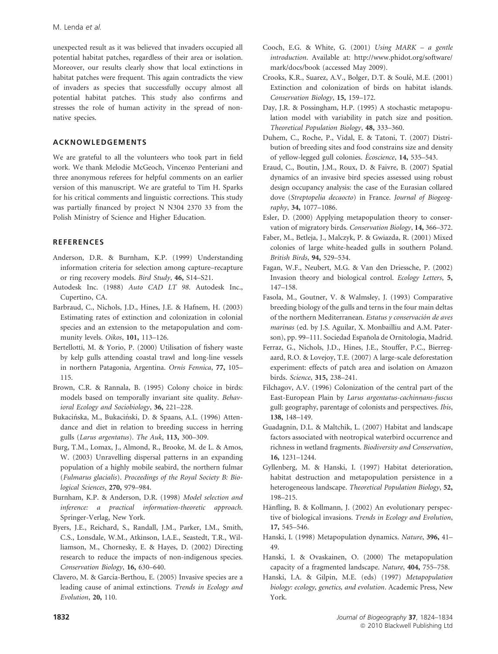unexpected result as it was believed that invaders occupied all potential habitat patches, regardless of their area or isolation. Moreover, our results clearly show that local extinctions in habitat patches were frequent. This again contradicts the view of invaders as species that successfully occupy almost all potential habitat patches. This study also confirms and stresses the role of human activity in the spread of nonnative species.

# ACKNOWLEDGEMENTS

We are grateful to all the volunteers who took part in field work. We thank Melodie McGeoch, Vincenzo Penteriani and three anonymous referees for helpful comments on an earlier version of this manuscript. We are grateful to Tim H. Sparks for his critical comments and linguistic corrections. This study was partially financed by project N N304 2370 33 from the Polish Ministry of Science and Higher Education.

# **REFERENCES**

- Anderson, D.R. & Burnham, K.P. (1999) Understanding information criteria for selection among capture–recapture or ring recovery models. Bird Study, 46, S14–S21.
- Autodesk Inc. (1988) Auto CAD LT 98. Autodesk Inc., Cupertino, CA.
- Barbraud, C., Nichols, J.D., Hines, J.E. & Hafnem, H. (2003) Estimating rates of extinction and colonization in colonial species and an extension to the metapopulation and community levels. Oikos, 101, 113–126.
- Bertellotti, M. & Yorio, P. (2000) Utilisation of fishery waste by kelp gulls attending coastal trawl and long-line vessels in northern Patagonia, Argentina. Ornis Fennica, 77, 105– 115.
- Brown, C.R. & Rannala, B. (1995) Colony choice in birds: models based on temporally invariant site quality. Behavioral Ecology and Sociobiology, 36, 221–228.
- Bukacińska, M., Bukaciński, D. & Spaans, A.L. (1996) Attendance and diet in relation to breeding success in herring gulls (Larus argentatus). The Auk, 113, 300–309.
- Burg, T.M., Lomax, J., Almond, R., Brooke, M. de L. & Amos, W. (2003) Unravelling dispersal patterns in an expanding population of a highly mobile seabird, the northern fulmar (Fulmarus glacialis). Proceedings of the Royal Society B: Biological Sciences, 270, 979–984.
- Burnham, K.P. & Anderson, D.R. (1998) Model selection and inference: a practical information-theoretic approach. Springer-Verlag, New York.
- Byers, J.E., Reichard, S., Randall, J.M., Parker, I.M., Smith, C.S., Lonsdale, W.M., Atkinson, I.A.E., Seastedt, T.R., Williamson, M., Chornesky, E. & Hayes, D. (2002) Directing research to reduce the impacts of non-indigenous species. Conservation Biology, 16, 630–640.
- Clavero, M. & García-Berthou, E. (2005) Invasive species are a leading cause of animal extinctions. Trends in Ecology and Evolution, 20, 110.
- Cooch, E.G. & White, G. (2001) Using MARK a gentle introduction. Available at: http://www.phidot.org/software/ mark/docs/book (accessed May 2009).
- Crooks, K.R., Suarez, A.V., Bolger, D.T. & Soulé, M.E. (2001) Extinction and colonization of birds on habitat islands. Conservation Biology, 15, 159–172.
- Day, J.R. & Possingham, H.P. (1995) A stochastic metapopulation model with variability in patch size and position. Theoretical Population Biology, 48, 333–360.
- Duhem, C., Roche, P., Vidal, E. & Tatoni, T. (2007) Distribution of breeding sites and food constrains size and density of yellow-legged gull colonies. *Écoscience*, 14, 535–543.
- Eraud, C., Boutin, J.M., Roux, D. & Faivre, B. (2007) Spatial dynamics of an invasive bird species assessed using robust design occupancy analysis: the case of the Eurasian collared dove (Streptopelia decaocto) in France. Journal of Biogeography, 34, 1077–1086.
- Esler, D. (2000) Applying metapopulation theory to conservation of migratory birds. Conservation Biology, 14, 366–372.
- Faber, M., Betleja, J., Malczyk, P. & Gwiazda, R. (2001) Mixed colonies of large white-headed gulls in southern Poland. British Birds, 94, 529–534.
- Fagan, W.F., Neubert, M.G. & Van den Driessche, P. (2002) Invasion theory and biological control. Ecology Letters, 5, 147–158.
- Fasola, M., Goutner, V. & Walmsley, J. (1993) Comparative breeding biology of the gulls and terns in the four main deltas of the northern Mediterranean. Estatus y conservación de aves marinas (ed. by J.S. Aguilar, X. Monbailliu and A.M. Paterson), pp. 99–111. Sociedad Española de Ornitologia, Madrid.
- Ferraz, G., Nichols, J.D., Hines, J.E., Stouffer, P.C., Bierregaard, R.O. & Lovejoy, T.E. (2007) A large-scale deforestation experiment: effects of patch area and isolation on Amazon birds. Science, 315, 238–241.
- Filchagov, A.V. (1996) Colonization of the central part of the East-European Plain by Larus argentatus-cachinnans-fuscus gull: geography, parentage of colonists and perspectives. Ibis, 138, 148–149.
- Guadagnin, D.L. & Maltchik, L. (2007) Habitat and landscape factors associated with neotropical waterbird occurrence and richness in wetland fragments. Biodiversity and Conservation, 16, 1231–1244.
- Gyllenberg, M. & Hanski, I. (1997) Habitat deterioration, habitat destruction and metapopulation persistence in a heterogeneous landscape. Theoretical Population Biology, 52, 198–215.
- Hänfling, B. & Kollmann, J. (2002) An evolutionary perspective of biological invasions. Trends in Ecology and Evolution, 17, 545–546.
- Hanski, I. (1998) Metapopulation dynamics. Nature, 396, 41– 49.
- Hanski, I. & Ovaskainen, O. (2000) The metapopulation capacity of a fragmented landscape. Nature, 404, 755–758.
- Hanski, I.A. & Gilpin, M.E. (eds) (1997) Metapopulation biology: ecology, genetics, and evolution. Academic Press, New York.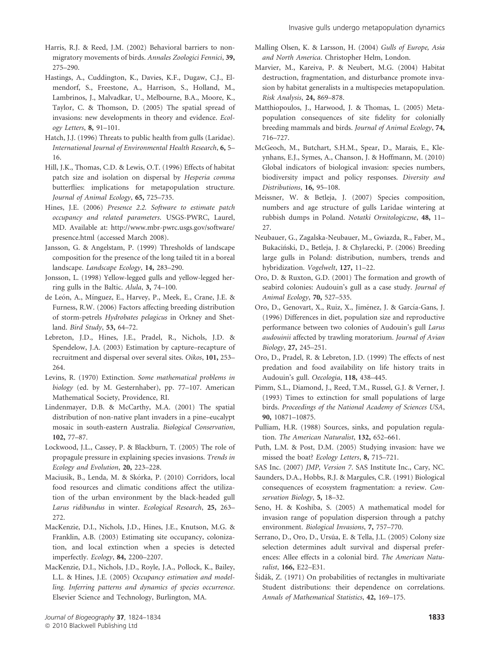Harris, R.J. & Reed, J.M. (2002) Behavioral barriers to nonmigratory movements of birds. Annales Zoologici Fennici, 39, 275–290.

- Hastings, A., Cuddington, K., Davies, K.F., Dugaw, C.J., Elmendorf, S., Freestone, A., Harrison, S., Holland, M., Lambrinos, J., Malvadkar, U., Melbourne, B.A., Moore, K., Taylor, C. & Thomson, D. (2005) The spatial spread of invasions: new developments in theory and evidence. Ecology Letters, 8, 91–101.
- Hatch, J.J. (1996) Threats to public health from gulls (Laridae). International Journal of Environmental Health Research, 6, 5– 16.
- Hill, J.K., Thomas, C.D. & Lewis, O.T. (1996) Effects of habitat patch size and isolation on dispersal by Hesperia comma butterflies: implications for metapopulation structure. Journal of Animal Ecology, 65, 725–735.
- Hines, J.E. (2006) Presence 2.2. Software to estimate patch occupancy and related parameters. USGS-PWRC, Laurel, MD. Available at: http://www.mbr-pwrc.usgs.gov/software/ presence.html (accessed March 2008).
- Jansson, G. & Angelstam, P. (1999) Thresholds of landscape composition for the presence of the long tailed tit in a boreal landscape. Landscape Ecology, 14, 283–290.
- Jonsson, L. (1998) Yellow-legged gulls and yellow-legged herring gulls in the Baltic. Alula, 3, 74–100.
- de León, A., Mínguez, E., Harvey, P., Meek, E., Crane, J.E. & Furness, R.W. (2006) Factors affecting breeding distribution of storm-petrels Hydrobates pelagicus in Orkney and Shetland. Bird Study, 53, 64–72.
- Lebreton, J.D., Hines, J.E., Pradel, R., Nichols, J.D. & Spendelow, J.A. (2003) Estimation by capture–recapture of recruitment and dispersal over several sites. Oikos, 101, 253– 264.
- Levins, R. (1970) Extinction. Some mathematical problems in biology (ed. by M. Gesternhaber), pp. 77–107. American Mathematical Society, Providence, RI.
- Lindenmayer, D.B. & McCarthy, M.A. (2001) The spatial distribution of non-native plant invaders in a pine–eucalypt mosaic in south-eastern Australia. Biological Conservation, 102, 77–87.
- Lockwood, J.L., Cassey, P. & Blackburn, T. (2005) The role of propagule pressure in explaining species invasions. Trends in Ecology and Evolution, 20, 223–228.
- Maciusik, B., Lenda, M. & Skórka, P. (2010) Corridors, local food resources and climatic conditions affect the utilization of the urban environment by the black-headed gull Larus ridibundus in winter. Ecological Research, 25, 263– 272.
- MacKenzie, D.I., Nichols, J.D., Hines, J.E., Knutson, M.G. & Franklin, A.B. (2003) Estimating site occupancy, colonization, and local extinction when a species is detected imperfectly. Ecology, 84, 2200–2207.
- MacKenzie, D.I., Nichols, J.D., Royle, J.A., Pollock, K., Bailey, L.L. & Hines, J.E. (2005) Occupancy estimation and modelling. Inferring patterns and dynamics of species occurrence. Elsevier Science and Technology, Burlington, MA.
- Malling Olsen, K. & Larsson, H. (2004) Gulls of Europe, Asia and North America. Christopher Helm, London.
- Marvier, M., Kareiva, P. & Neubert, M.G. (2004) Habitat destruction, fragmentation, and disturbance promote invasion by habitat generalists in a multispecies metapopulation. Risk Analysis, 24, 869–878.
- Matthiopoulos, J., Harwood, J. & Thomas, L. (2005) Metapopulation consequences of site fidelity for colonially breeding mammals and birds. Journal of Animal Ecology, 74, 716–727.
- McGeoch, M., Butchart, S.H.M., Spear, D., Marais, E., Kleynhans, E.J., Symes, A., Chanson, J. & Hoffmann, M. (2010) Global indicators of biological invasion: species numbers, biodiversity impact and policy responses. Diversity and Distributions, 16, 95–108.
- Meissner, W. & Betleja, J. (2007) Species composition, numbers and age structure of gulls Laridae wintering at rubbish dumps in Poland. Notatki Ornitologiczne, 48, 11– 27.
- Neubauer, G., Zagalska-Neubauer, M., Gwiazda, R., Faber, M., Bukaciński, D., Betleja, J. & Chylarecki, P. (2006) Breeding large gulls in Poland: distribution, numbers, trends and hybridization. Vogelwelt, 127, 11–22.
- Oro, D. & Ruxton, G.D. (2001) The formation and growth of seabird colonies: Audouin's gull as a case study. Journal of Animal Ecology, 70, 527–535.
- Oro, D., Genovart, X., Ruiz, X., Jiménez, J. & García-Gans, J. (1996) Differences in diet, population size and reproductive performance between two colonies of Audouin's gull Larus audouinii affected by trawling moratorium. Journal of Avian Biology, 27, 245–251.
- Oro, D., Pradel, R. & Lebreton, J.D. (1999) The effects of nest predation and food availability on life history traits in Audouin's gull. Oecologia, 118, 438–445.
- Pimm, S.L., Diamond, J., Reed, T.M., Russel, G.J. & Verner, J. (1993) Times to extinction for small populations of large birds. Proceedings of the National Academy of Sciences USA, 90, 10871–10875.
- Pulliam, H.R. (1988) Sources, sinks, and population regulation. The American Naturalist, 132, 652–661.
- Puth, L.M. & Post, D.M. (2005) Studying invasion: have we missed the boat? Ecology Letters, 8, 715–721.
- SAS Inc. (2007) JMP, Version 7. SAS Institute Inc., Cary, NC.
- Saunders, D.A., Hobbs, R.J. & Margules, C.R. (1991) Biological consequences of ecosystem fragmentation: a review. Conservation Biology, 5, 18–32.
- Seno, H. & Koshiba, S. (2005) A mathematical model for invasion range of population dispersion through a patchy environment. Biological Invasions, 7, 757–770.
- Serrano, D., Oro, D., Ursúa, E. & Tella, J.L. (2005) Colony size selection determines adult survival and dispersal preferences: Allee effects in a colonial bird. The American Naturalist, 166, E22–E31.
- Šidák, Z. (1971) On probabilities of rectangles in multivariate Student distributions: their dependence on correlations. Annals of Mathematical Statistics, 42, 169–175.